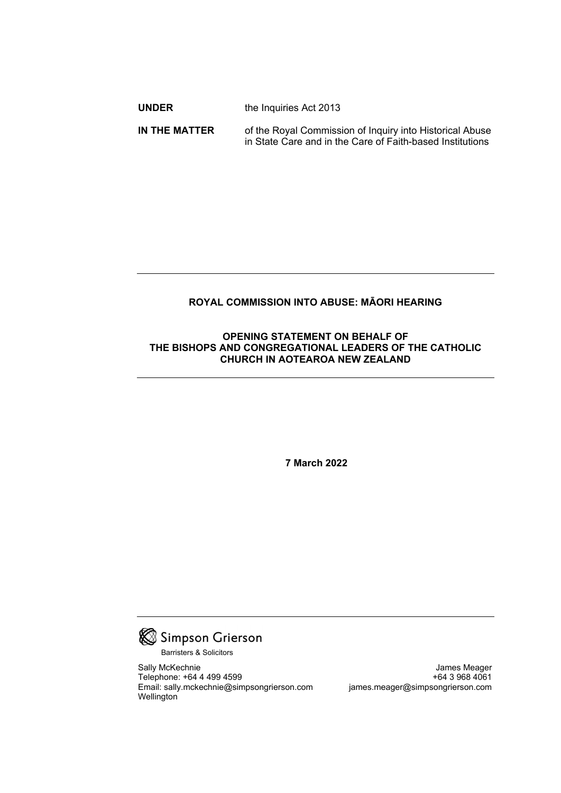| <b>UNDER</b> | the Inquiries Act 2013 |  |  |  |  |  |
|--------------|------------------------|--|--|--|--|--|
|              |                        |  |  |  |  |  |

**IN THE MATTER** of the Royal Commission of Inquiry into Historical Abuse in State Care and in the Care of Faith-based Institutions

### **ROYAL COMMISSION INTO ABUSE: MĀORI HEARING**

### **OPENING STATEMENT ON BEHALF OF THE BISHOPS AND CONGREGATIONAL LEADERS OF THE CATHOLIC CHURCH IN AOTEAROA NEW ZEALAND**

**7 March 2022**



Barristers & Solicitors

Sally McKechnie James Meager Telephone: +64 4 499 4599 +64 3 968 4061 Email: sally.mckechnie@simpsongrierson.com **Wellington**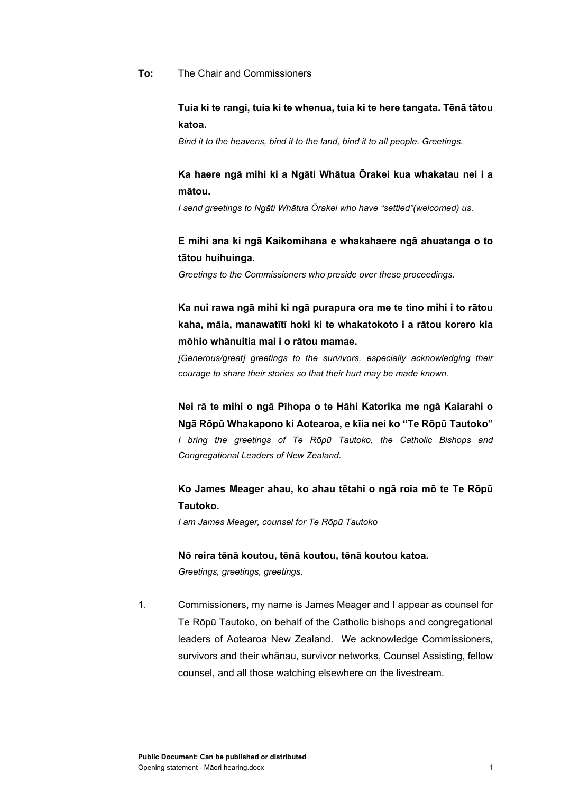#### **To:** The Chair and Commissioners

## **Tuia ki te rangi, tuia ki te whenua, tuia ki te here tangata. Tēnā tātou katoa.**

*Bind it to the heavens, bind it to the land, bind it to all people. Greetings.*

## **Ka haere ngā mihi ki a Ngāti Whātua Ōrakei kua whakatau nei i a mātou.**

*I send greetings to Ngāti Whātua Ōrakei who have "settled"(welcomed) us.*

# **E mihi ana ki ngā Kaikomihana e whakahaere ngā ahuatanga o to tātou huihuinga.**

*Greetings to the Commissioners who preside over these proceedings.*

**Ka nui rawa ngā mihi ki ngā purapura ora me te tino mihi i to rātou kaha, māia, manawatītī hoki ki te whakatokoto i a rātou korero kia mōhio whānuitia mai i o rātou mamae.**

*[Generous/great] greetings to the survivors, especially acknowledging their courage to share their stories so that their hurt may be made known.*

**Nei rā te mihi o ngā Pīhopa o te Hāhi Katorika me ngā Kaiarahi o Ngā Rōpū Whakapono ki Aotearoa, e kīia nei ko "Te Rōpū Tautoko"** *I bring the greetings of Te Rōpū Tautoko, the Catholic Bishops and Congregational Leaders of New Zealand.*

# **Ko James Meager ahau, ko ahau tētahi o ngā roia mō te Te Rōpū Tautoko.**

*I am James Meager, counsel for Te Rōpū Tautoko*

# **Nō reira tēnā koutou, tēnā koutou, tēnā koutou katoa.**

*Greetings, greetings, greetings.*

1. Commissioners, my name is James Meager and I appear as counsel for Te Rōpū Tautoko, on behalf of the Catholic bishops and congregational leaders of Aotearoa New Zealand. We acknowledge Commissioners, survivors and their whānau, survivor networks, Counsel Assisting, fellow counsel, and all those watching elsewhere on the livestream.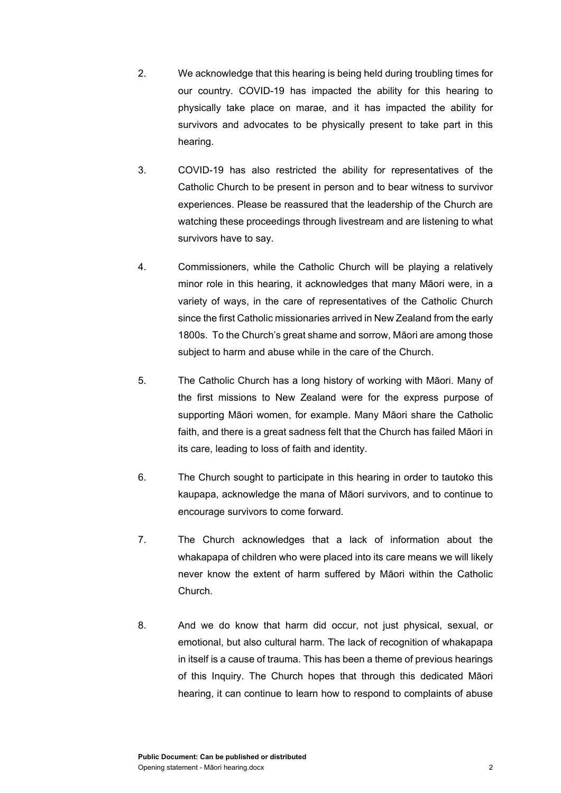- 2. We acknowledge that this hearing is being held during troubling times for our country. COVID-19 has impacted the ability for this hearing to physically take place on marae, and it has impacted the ability for survivors and advocates to be physically present to take part in this hearing.
- 3. COVID-19 has also restricted the ability for representatives of the Catholic Church to be present in person and to bear witness to survivor experiences. Please be reassured that the leadership of the Church are watching these proceedings through livestream and are listening to what survivors have to say.
- 4. Commissioners, while the Catholic Church will be playing a relatively minor role in this hearing, it acknowledges that many Māori were, in a variety of ways, in the care of representatives of the Catholic Church since the first Catholic missionaries arrived in New Zealand from the early 1800s. To the Church's great shame and sorrow, Māori are among those subject to harm and abuse while in the care of the Church.
- 5. The Catholic Church has a long history of working with Māori. Many of the first missions to New Zealand were for the express purpose of supporting Māori women, for example. Many Māori share the Catholic faith, and there is a great sadness felt that the Church has failed Māori in its care, leading to loss of faith and identity.
- 6. The Church sought to participate in this hearing in order to tautoko this kaupapa, acknowledge the mana of Māori survivors, and to continue to encourage survivors to come forward.
- 7. The Church acknowledges that a lack of information about the whakapapa of children who were placed into its care means we will likely never know the extent of harm suffered by Māori within the Catholic Church.
- 8. And we do know that harm did occur, not just physical, sexual, or emotional, but also cultural harm. The lack of recognition of whakapapa in itself is a cause of trauma. This has been a theme of previous hearings of this Inquiry. The Church hopes that through this dedicated Māori hearing, it can continue to learn how to respond to complaints of abuse